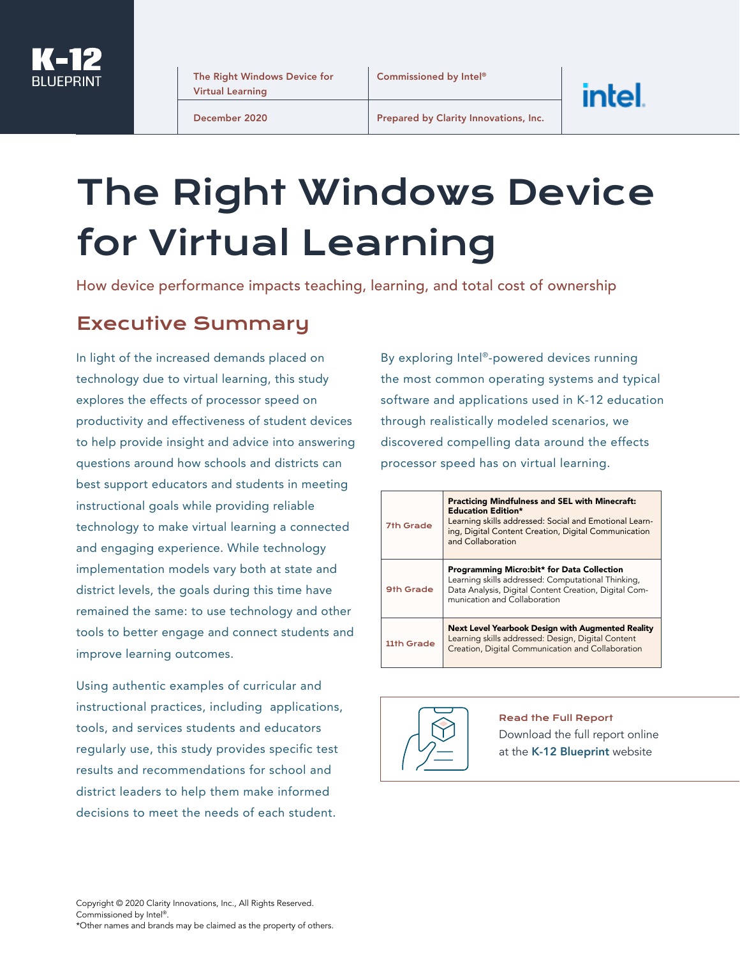

The Right Windows Device for Virtual Learning

December 2020

Prepared by Clarity Innovations, Inc.

# The Right Windows Device for Virtual Learning

How device performance impacts teaching, learning, and total cost of ownership

#### Executive Summary

In light of the increased demands placed on technology due to virtual learning, this study explores the effects of processor speed on productivity and effectiveness of student devices to help provide insight and advice into answering questions around how schools and districts can best support educators and students in meeting instructional goals while providing reliable technology to make virtual learning a connected and engaging experience. While technology implementation models vary both at state and district levels, the goals during this time have remained the same: to use technology and other tools to better engage and connect students and improve learning outcomes.

Using authentic examples of curricular and instructional practices, including applications, tools, and services students and educators regularly use, this study provides specific test results and recommendations for school and district leaders to help them make informed decisions to meet the needs of each student.

By exploring Intel®-powered devices running the most common operating systems and typical software and applications used in K-12 education through realistically modeled scenarios, we discovered compelling data around the effects processor speed has on virtual learning.

intel.

| 7th Grade  | <b>Practicing Mindfulness and SEL with Minecraft:</b><br><b>Education Edition*</b><br>Learning skills addressed: Social and Emotional Learn-<br>ing, Digital Content Creation, Digital Communication<br>and Collaboration |
|------------|---------------------------------------------------------------------------------------------------------------------------------------------------------------------------------------------------------------------------|
| 9th Grade  | <b>Programming Micro:bit* for Data Collection</b><br>Learning skills addressed: Computational Thinking,<br>Data Analysis, Digital Content Creation, Digital Com-<br>munication and Collaboration                          |
| 11th Grade | Next Level Yearbook Design with Augmented Reality<br>Learning skills addressed: Design, Digital Content<br>Creation, Digital Communication and Collaboration                                                              |



Read the Full Report Download the full report online at the [K-12 Blueprint](https://www.k12blueprint.com/sites/default/files/Intel-Windows-K-12-Platform-Study_July2020.pdf) website